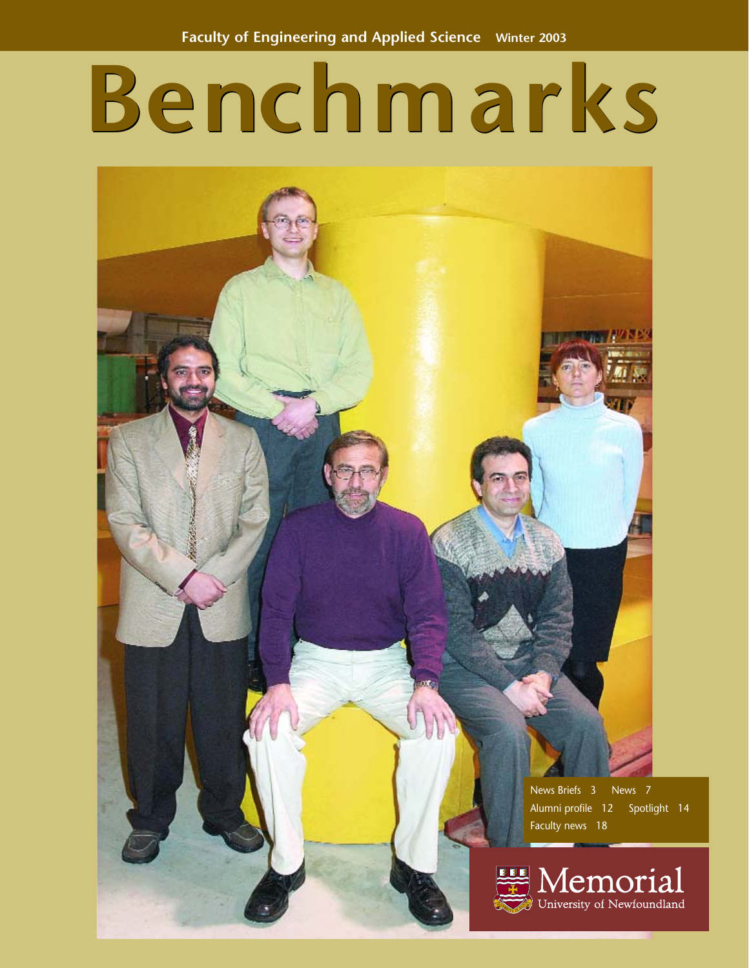# **Benchmarks**

**Contract Contract Contract** News Briefs 3 News 7 Alumni profile 12 Spotlight 14 Faculty news 18i Memorial University of Newfoundland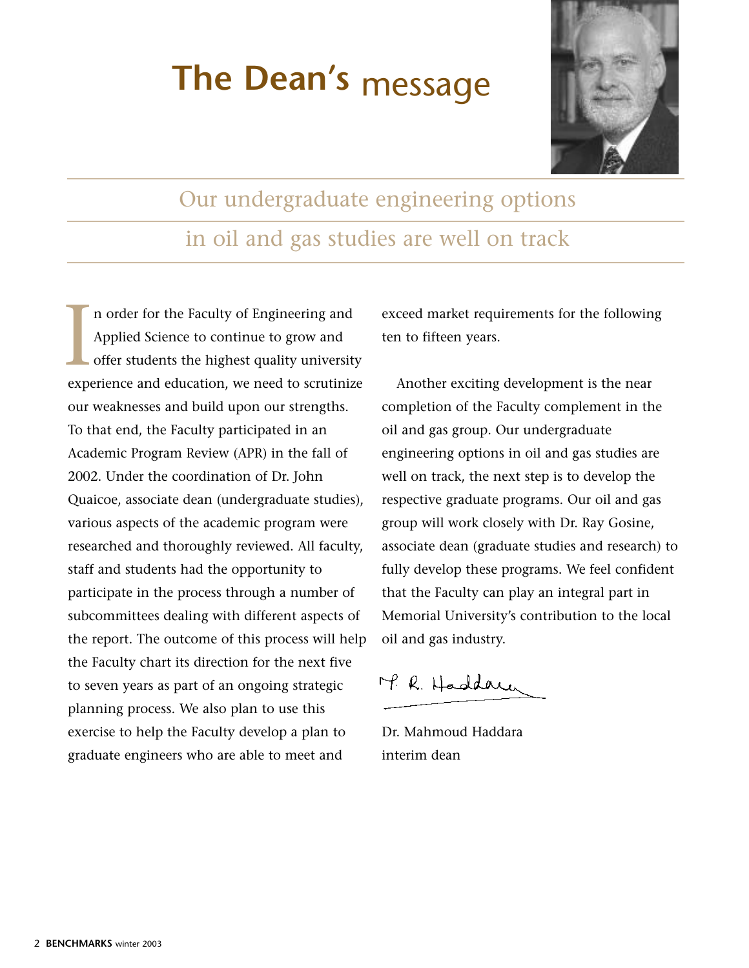# **The Dean's** message



Our undergraduate engineering options in oil and gas studies are well on track

n order for the Faculty of Engineering and Applied Science to continue to grow and offer students the highest quality university I a order for the Faculty of Engineering and<br>Applied Science to continue to grow and<br>offer students the highest quality university<br>experience and education, we need to scrutinize our weaknesses and build upon our strengths. To that end, the Faculty participated in an Academic Program Review (APR) in the fall of 2002. Under the coordination of Dr. John Quaicoe, associate dean (undergraduate studies), various aspects of the academic program were researched and thoroughly reviewed. All faculty, staff and students had the opportunity to participate in the process through a number of subcommittees dealing with different aspects of the report. The outcome of this process will help the Faculty chart its direction for the next five to seven years as part of an ongoing strategic planning process. We also plan to use this exercise to help the Faculty develop a plan to graduate engineers who are able to meet and

exceed market requirements for the following ten to fifteen years.

Another exciting development is the near completion of the Faculty complement in the oil and gas group. Our undergraduate engineering options in oil and gas studies are well on track, the next step is to develop the respective graduate programs. Our oil and gas group will work closely with Dr. Ray Gosine, associate dean (graduate studies and research) to fully develop these programs. We feel confident that the Faculty can play an integral part in Memorial University's contribution to the local oil and gas industry.

M. R. Haddam

Dr. Mahmoud Haddara interim dean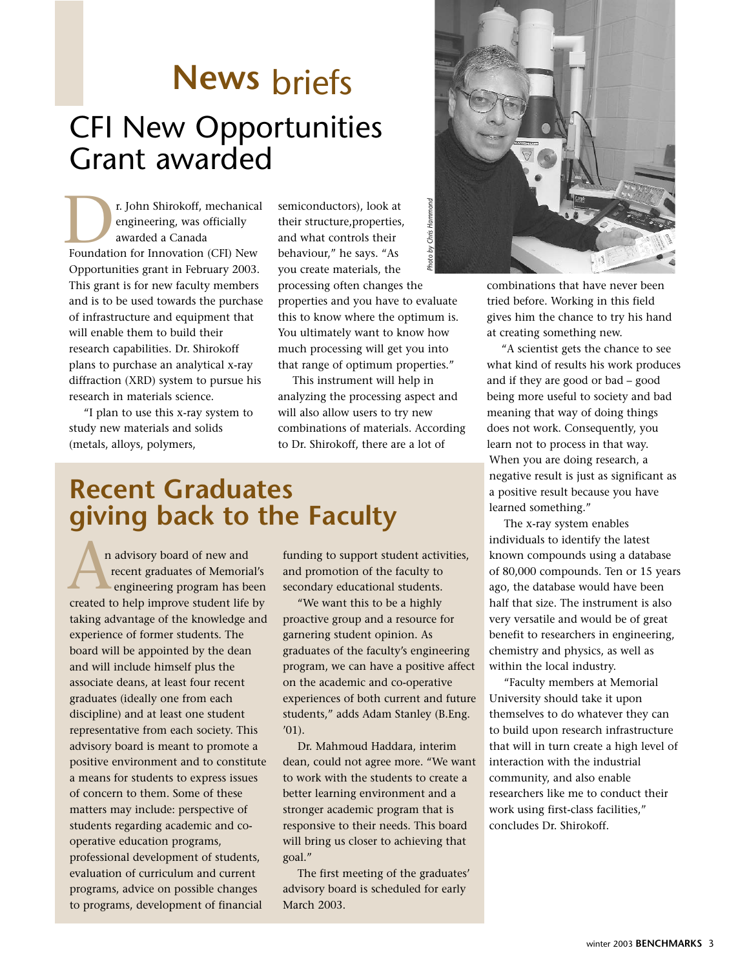# **News** briefs CFI New Opportunities Grant awarded

r. John Shirokoff, mechanical engineering, was officially awarded a Canada **F. John Shirokoff, mechanica**<br>
engineering, was officially<br>
awarded a Canada<br>
Foundation for Innovation (CFI) New Opportunities grant in February 2003. This grant is for new faculty members and is to be used towards the purchase of infrastructure and equipment that will enable them to build their research capabilities. Dr. Shirokoff plans to purchase an analytical x-ray diffraction (XRD) system to pursue his research in materials science.

"I plan to use this x-ray system to study new materials and solids (metals, alloys, polymers,

*Photo by Chris Hammond*semiconductors), look at their structure,properties, Chris<sup>1</sup> and what controls their behaviour," he says. "As you create materials, the processing often changes the properties and you have to evaluate this to know where the optimum is. You ultimately want to know how

much processing will get you into that range of optimum properties." This instrument will help in

analyzing the processing aspect and will also allow users to try new combinations of materials. According to Dr. Shirokoff, there are a lot of

## **Recent Graduates giving back to the Faculty**

n advisory board of new and recent graduates of Memorial's engineering program has been n advisory board of new and<br>recent graduates of Memorial's<br>engineering program has been<br>created to help improve student life by taking advantage of the knowledge and experience of former students. The board will be appointed by the dean and will include himself plus the associate deans, at least four recent graduates (ideally one from each discipline) and at least one student representative from each society. This advisory board is meant to promote a positive environment and to constitute a means for students to express issues of concern to them. Some of these matters may include: perspective of students regarding academic and cooperative education programs, professional development of students, evaluation of curriculum and current programs, advice on possible changes to programs, development of financial

funding to support student activities, and promotion of the faculty to secondary educational students.

"We want this to be a highly proactive group and a resource for garnering student opinion. As graduates of the faculty's engineering program, we can have a positive affect on the academic and co-operative experiences of both current and future students," adds Adam Stanley (B.Eng.  $'01$ ).

Dr. Mahmoud Haddara, interim dean, could not agree more. "We want to work with the students to create a better learning environment and a stronger academic program that is responsive to their needs. This board will bring us closer to achieving that goal."

The first meeting of the graduates' advisory board is scheduled for early March 2003.



combinations that have never been tried before. Working in this field gives him the chance to try his hand at creating something new.

"A scientist gets the chance to see what kind of results his work produces and if they are good or bad – good being more useful to society and bad meaning that way of doing things does not work. Consequently, you learn not to process in that way. When you are doing research, a negative result is just as significant as a positive result because you have learned something."

The x-ray system enables individuals to identify the latest known compounds using a database of 80,000 compounds. Ten or 15 years ago, the database would have been half that size. The instrument is also very versatile and would be of great benefit to researchers in engineering, chemistry and physics, as well as within the local industry.

"Faculty members at Memorial University should take it upon themselves to do whatever they can to build upon research infrastructure that will in turn create a high level of interaction with the industrial community, and also enable researchers like me to conduct their work using first-class facilities," concludes Dr. Shirokoff.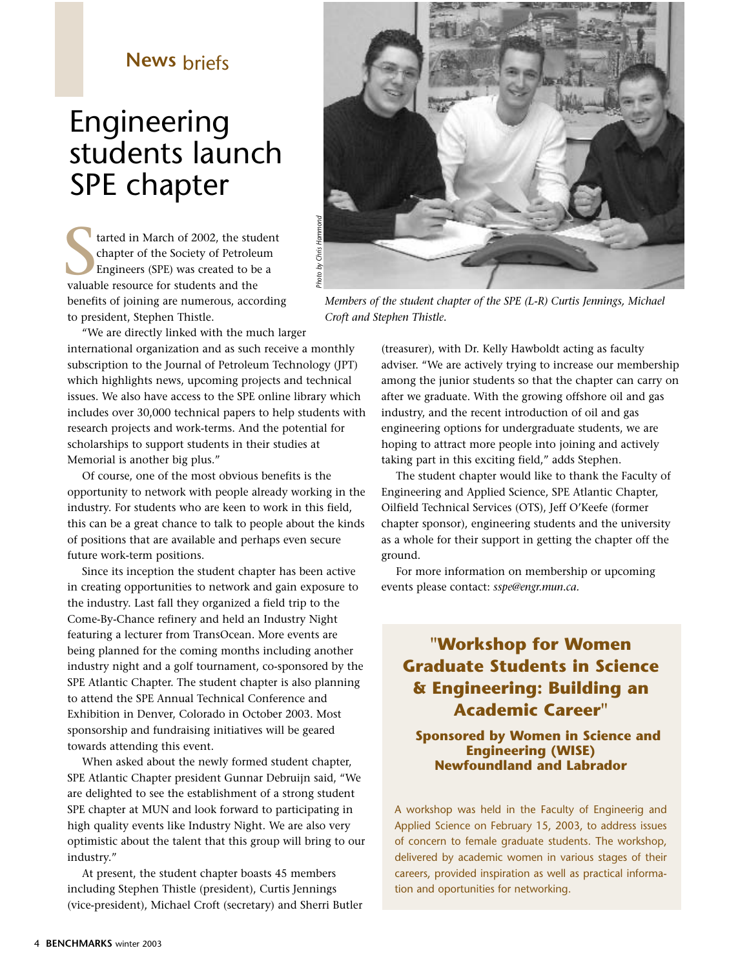# Engineering students launch SPE chapter

tarted in March of 2002, the student chapter of the Society of Petroleum Engineers (SPE) was created to be a tarted in March of 2002, the students and the Society of Petroleum and the valuable resource for students and the benefits of joining are numerous, according to president, Stephen Thistle.



*Members of the student chapter of the SPE (L-R) Curtis Jennings, Michael Croft and Stephen Thistle.*

"We are directly linked with the much larger international organization and as such receive a monthly subscription to the Journal of Petroleum Technology (JPT) which highlights news, upcoming projects and technical issues. We also have access to the SPE online library which includes over 30,000 technical papers to help students with research projects and work-terms. And the potential for scholarships to support students in their studies at Memorial is another big plus."

Of course, one of the most obvious benefits is the opportunity to network with people already working in the industry. For students who are keen to work in this field, this can be a great chance to talk to people about the kinds of positions that are available and perhaps even secure future work-term positions.

Since its inception the student chapter has been active in creating opportunities to network and gain exposure to the industry. Last fall they organized a field trip to the Come-By-Chance refinery and held an Industry Night featuring a lecturer from TransOcean. More events are being planned for the coming months including another industry night and a golf tournament, co-sponsored by the SPE Atlantic Chapter. The student chapter is also planning to attend the SPE Annual Technical Conference and Exhibition in Denver, Colorado in October 2003. Most sponsorship and fundraising initiatives will be geared towards attending this event.

When asked about the newly formed student chapter, SPE Atlantic Chapter president Gunnar Debruijn said, "We are delighted to see the establishment of a strong student SPE chapter at MUN and look forward to participating in high quality events like Industry Night. We are also very optimistic about the talent that this group will bring to our industry."

At present, the student chapter boasts 45 members including Stephen Thistle (president), Curtis Jennings (vice-president), Michael Croft (secretary) and Sherri Butler

(treasurer), with Dr. Kelly Hawboldt acting as faculty adviser. "We are actively trying to increase our membership among the junior students so that the chapter can carry on after we graduate. With the growing offshore oil and gas industry, and the recent introduction of oil and gas engineering options for undergraduate students, we are hoping to attract more people into joining and actively taking part in this exciting field," adds Stephen.

The student chapter would like to thank the Faculty of Engineering and Applied Science, SPE Atlantic Chapter, Oilfield Technical Services (OTS), Jeff O'Keefe (former chapter sponsor), engineering students and the university as a whole for their support in getting the chapter off the ground.

For more information on membership or upcoming events please contact: *sspe@engr.mun.ca.*

## **"Workshop for Women Graduate Students in Science & Engineering: Building an Academic Career"**

**Sponsored by Women in Science and Engineering (WISE) Newfoundland and Labrador**

A workshop was held in the Faculty of Engineerig and Applied Science on February 15, 2003, to address issues of concern to female graduate students. The workshop, delivered by academic women in various stages of their careers, provided inspiration as well as practical information and oportunities for networking.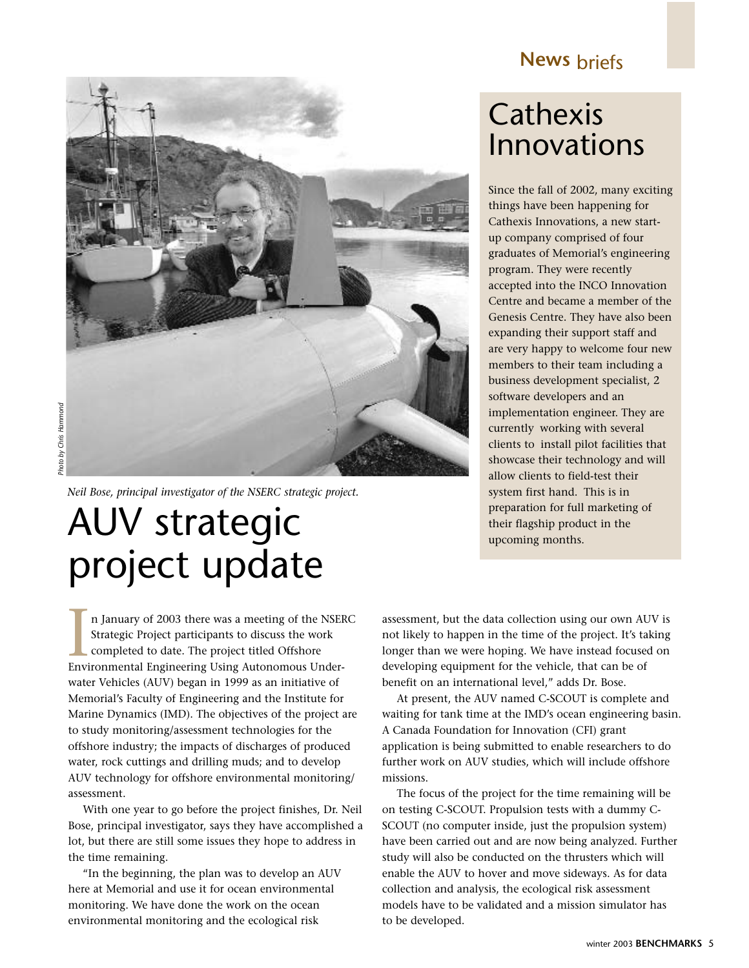

*Neil Bose, principal investigator of the NSERC strategic project.*

# AUV strategic project update

n January of 2003 there was a meeting of the NSERC Strategic Project participants to discuss the work completed to date. The project titled Offshore In January of 2003 there was a meeting of the NSEI<br>Strategic Project participants to discuss the work<br>completed to date. The project titled Offshore<br>Environmental Engineering Using Autonomous Underwater Vehicles (AUV) began in 1999 as an initiative of Memorial's Faculty of Engineering and the Institute for Marine Dynamics (IMD). The objectives of the project are to study monitoring/assessment technologies for the offshore industry; the impacts of discharges of produced water, rock cuttings and drilling muds; and to develop AUV technology for offshore environmental monitoring/ assessment.

With one year to go before the project finishes, Dr. Neil Bose, principal investigator, says they have accomplished a lot, but there are still some issues they hope to address in the time remaining.

"In the beginning, the plan was to develop an AUV here at Memorial and use it for ocean environmental monitoring. We have done the work on the ocean environmental monitoring and the ecological risk

# Cathexis Innovations

Since the fall of 2002, many exciting things have been happening for Cathexis Innovations, a new startup company comprised of four graduates of Memorial's engineering program. They were recently accepted into the INCO Innovation Centre and became a member of the Genesis Centre. They have also been expanding their support staff and are very happy to welcome four new members to their team including a business development specialist, 2 software developers and an implementation engineer. They are currently working with several clients to install pilot facilities that showcase their technology and will allow clients to field-test their system first hand. This is in preparation for full marketing of their flagship product in the upcoming months.

assessment, but the data collection using our own AUV is not likely to happen in the time of the project. It's taking longer than we were hoping. We have instead focused on developing equipment for the vehicle, that can be of benefit on an international level," adds Dr. Bose.

At present, the AUV named C-SCOUT is complete and waiting for tank time at the IMD's ocean engineering basin. A Canada Foundation for Innovation (CFI) grant application is being submitted to enable researchers to do further work on AUV studies, which will include offshore missions.

The focus of the project for the time remaining will be on testing C-SCOUT. Propulsion tests with a dummy C-SCOUT (no computer inside, just the propulsion system) have been carried out and are now being analyzed. Further study will also be conducted on the thrusters which will enable the AUV to hover and move sideways. As for data collection and analysis, the ecological risk assessment models have to be validated and a mission simulator has to be developed.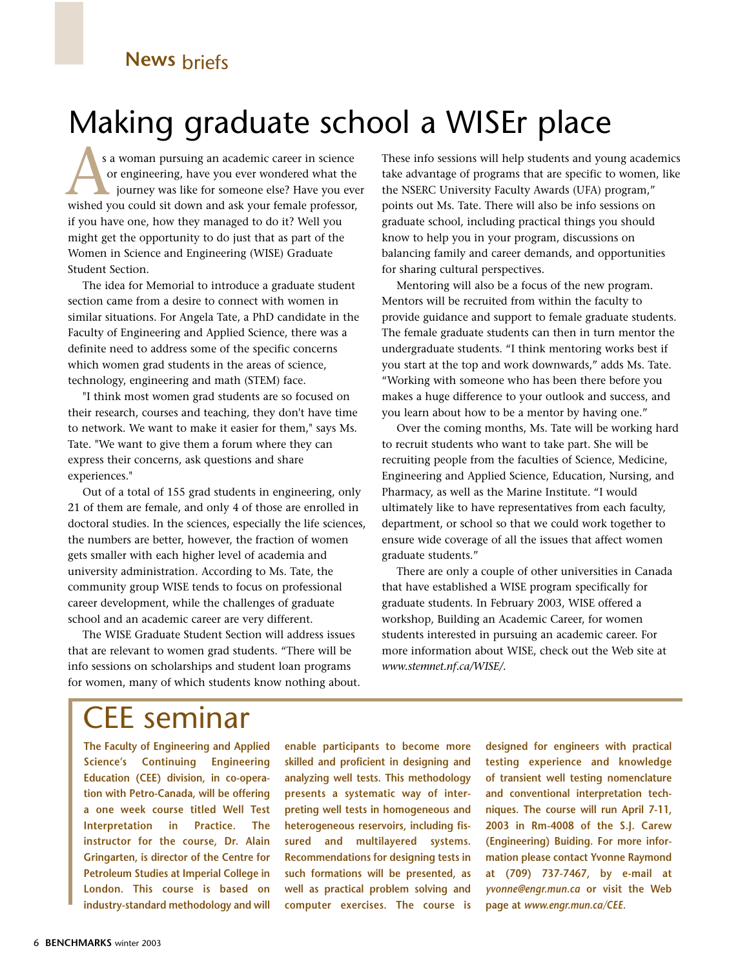# Making graduate school a WISEr place

s a woman pursuing an academic career in science or engineering, have you ever wondered what the journey was like for someone else? Have you ever s a woman pursuing an academic career in science<br>or engineering, have you ever wondered what the<br>journey was like for someone else? Have you ever<br>wished you could sit down and ask your female professor, if you have one, how they managed to do it? Well you might get the opportunity to do just that as part of the Women in Science and Engineering (WISE) Graduate Student Section.

The idea for Memorial to introduce a graduate student section came from a desire to connect with women in similar situations. For Angela Tate, a PhD candidate in the Faculty of Engineering and Applied Science, there was a definite need to address some of the specific concerns which women grad students in the areas of science, technology, engineering and math (STEM) face.

"I think most women grad students are so focused on their research, courses and teaching, they don't have time to network. We want to make it easier for them," says Ms. Tate. "We want to give them a forum where they can express their concerns, ask questions and share experiences."

Out of a total of 155 grad students in engineering, only 21 of them are female, and only 4 of those are enrolled in doctoral studies. In the sciences, especially the life sciences, the numbers are better, however, the fraction of women gets smaller with each higher level of academia and university administration. According to Ms. Tate, the community group WISE tends to focus on professional career development, while the challenges of graduate school and an academic career are very different.

The WISE Graduate Student Section will address issues that are relevant to women grad students. "There will be info sessions on scholarships and student loan programs for women, many of which students know nothing about. These info sessions will help students and young academics take advantage of programs that are specific to women, like the NSERC University Faculty Awards (UFA) program," points out Ms. Tate. There will also be info sessions on graduate school, including practical things you should know to help you in your program, discussions on balancing family and career demands, and opportunities for sharing cultural perspectives.

Mentoring will also be a focus of the new program. Mentors will be recruited from within the faculty to provide guidance and support to female graduate students. The female graduate students can then in turn mentor the undergraduate students. "I think mentoring works best if you start at the top and work downwards," adds Ms. Tate. "Working with someone who has been there before you makes a huge difference to your outlook and success, and you learn about how to be a mentor by having one."

Over the coming months, Ms. Tate will be working hard to recruit students who want to take part. She will be recruiting people from the faculties of Science, Medicine, Engineering and Applied Science, Education, Nursing, and Pharmacy, as well as the Marine Institute. "I would ultimately like to have representatives from each faculty, department, or school so that we could work together to ensure wide coverage of all the issues that affect women graduate students."

There are only a couple of other universities in Canada that have established a WISE program specifically for graduate students. In February 2003, WISE offered a workshop, Building an Academic Career, for women students interested in pursuing an academic career. For more information about WISE, check out the Web site at *www.stemnet.nf.ca/WISE/.*

# CEE seminar

**The Faculty of Engineering and Applied Science's Continuing Engineering Education (CEE) division, in co-operation with Petro-Canada, will be offering a one week course titled Well Test Interpretation in Practice. The instructor for the course, Dr. Alain Gringarten, is director of the Centre for Petroleum Studies at Imperial College in London. This course is based on industry-standard methodology and will**

**enable participants to become more skilled and proficient in designing and analyzing well tests. This methodology presents a systematic way of interpreting well tests in homogeneous and heterogeneous reservoirs, including fissured and multilayered systems. Recommendations for designing tests in such formations will be presented, as well as practical problem solving and computer exercises. The course is** **designed for engineers with practical testing experience and knowledge of transient well testing nomenclature and conventional interpretation techniques. The course will run April 7-11, 2003 in Rm-4008 of the S.J. Carew (Engineering) Buiding. For more information please contact Yvonne Raymond at (709) 737-7467, by e-mail at** *yvonne@engr.mun.ca* **or visit the Web page at** *www.engr.mun.ca/CEE.*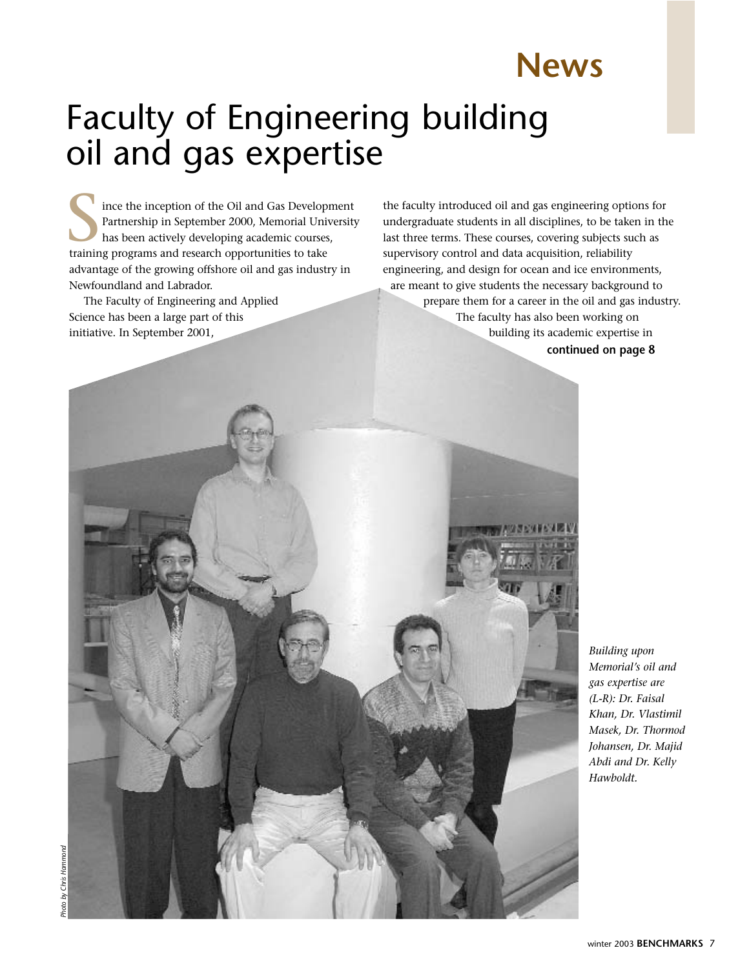# Faculty of Engineering building oil and gas expertise

ince the inception of the Oil and Gas Development Partnership in September 2000, Memorial University has been actively developing academic courses, ince the inception of the Oil and Gas Develop<br>Partnership in September 2000, Memorial Uni<br>has been actively developing academic course:<br>training programs and research opportunities to take advantage of the growing offshore oil and gas industry in Newfoundland and Labrador.

The Faculty of Engineering and Applied Science has been a large part of this initiative. In September 2001,

the faculty introduced oil and gas engineering options for undergraduate students in all disciplines, to be taken in the last three terms. These courses, covering subjects such as supervisory control and data acquisition, reliability engineering, and design for ocean and ice environments, are meant to give students the necessary background to prepare them for a career in the oil and gas industry. The faculty has also been working on building its academic expertise in **continued on page 8**

**News**

*Building upon Memorial's oil and gas expertise are (L-R): Dr. Faisal Khan, Dr. Vlastimil Masek, Dr. Thormod Johansen, Dr. Majid Abdi and Dr. Kelly Hawboldt.*

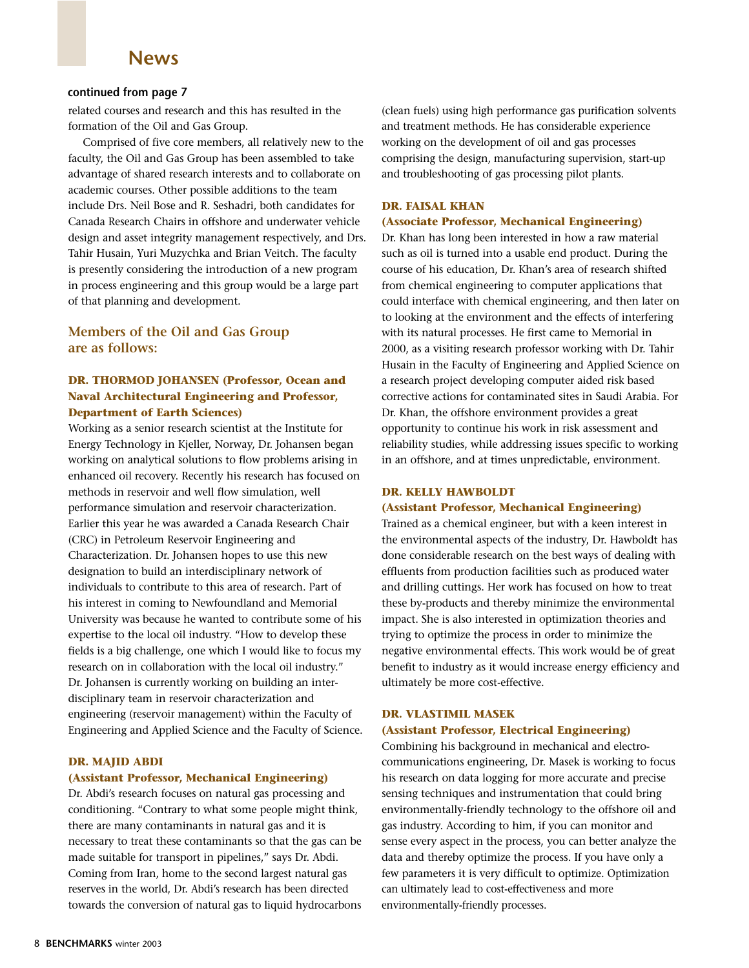## **News**

#### **continued from page 7**

related courses and research and this has resulted in the formation of the Oil and Gas Group.

Comprised of five core members, all relatively new to the faculty, the Oil and Gas Group has been assembled to take advantage of shared research interests and to collaborate on academic courses. Other possible additions to the team include Drs. Neil Bose and R. Seshadri, both candidates for Canada Research Chairs in offshore and underwater vehicle design and asset integrity management respectively, and Drs. Tahir Husain, Yuri Muzychka and Brian Veitch. The faculty is presently considering the introduction of a new program in process engineering and this group would be a large part of that planning and development.

## **Members of the Oil and Gas Group are as follows:**

### **DR. THORMOD JOHANSEN (Professor, Ocean and Naval Architectural Engineering and Professor, Department of Earth Sciences)**

Working as a senior research scientist at the Institute for Energy Technology in Kjeller, Norway, Dr. Johansen began working on analytical solutions to flow problems arising in enhanced oil recovery. Recently his research has focused on methods in reservoir and well flow simulation, well performance simulation and reservoir characterization. Earlier this year he was awarded a Canada Research Chair (CRC) in Petroleum Reservoir Engineering and Characterization. Dr. Johansen hopes to use this new designation to build an interdisciplinary network of individuals to contribute to this area of research. Part of his interest in coming to Newfoundland and Memorial University was because he wanted to contribute some of his expertise to the local oil industry. "How to develop these fields is a big challenge, one which I would like to focus my research on in collaboration with the local oil industry." Dr. Johansen is currently working on building an interdisciplinary team in reservoir characterization and engineering (reservoir management) within the Faculty of Engineering and Applied Science and the Faculty of Science.

#### **DR. MAJID ABDI**

#### **(Assistant Professor, Mechanical Engineering)**

Dr. Abdi's research focuses on natural gas processing and conditioning. "Contrary to what some people might think, there are many contaminants in natural gas and it is necessary to treat these contaminants so that the gas can be made suitable for transport in pipelines," says Dr. Abdi. Coming from Iran, home to the second largest natural gas reserves in the world, Dr. Abdi's research has been directed towards the conversion of natural gas to liquid hydrocarbons (clean fuels) using high performance gas purification solvents and treatment methods. He has considerable experience working on the development of oil and gas processes comprising the design, manufacturing supervision, start-up and troubleshooting of gas processing pilot plants.

#### **DR. FAISAL KHAN**

#### **(Associate Professor, Mechanical Engineering)**

Dr. Khan has long been interested in how a raw material such as oil is turned into a usable end product. During the course of his education, Dr. Khan's area of research shifted from chemical engineering to computer applications that could interface with chemical engineering, and then later on to looking at the environment and the effects of interfering with its natural processes. He first came to Memorial in 2000, as a visiting research professor working with Dr. Tahir Husain in the Faculty of Engineering and Applied Science on a research project developing computer aided risk based corrective actions for contaminated sites in Saudi Arabia. For Dr. Khan, the offshore environment provides a great opportunity to continue his work in risk assessment and reliability studies, while addressing issues specific to working in an offshore, and at times unpredictable, environment.

#### **DR. KELLY HAWBOLDT (Assistant Professor, Mechanical Engineering)**

Trained as a chemical engineer, but with a keen interest in the environmental aspects of the industry, Dr. Hawboldt has done considerable research on the best ways of dealing with effluents from production facilities such as produced water and drilling cuttings. Her work has focused on how to treat these by-products and thereby minimize the environmental impact. She is also interested in optimization theories and trying to optimize the process in order to minimize the negative environmental effects. This work would be of great benefit to industry as it would increase energy efficiency and ultimately be more cost-effective.

#### **DR. VLASTIMIL MASEK**

#### **(Assistant Professor, Electrical Engineering)**

Combining his background in mechanical and electrocommunications engineering, Dr. Masek is working to focus his research on data logging for more accurate and precise sensing techniques and instrumentation that could bring environmentally-friendly technology to the offshore oil and gas industry. According to him, if you can monitor and sense every aspect in the process, you can better analyze the data and thereby optimize the process. If you have only a few parameters it is very difficult to optimize. Optimization can ultimately lead to cost-effectiveness and more environmentally-friendly processes.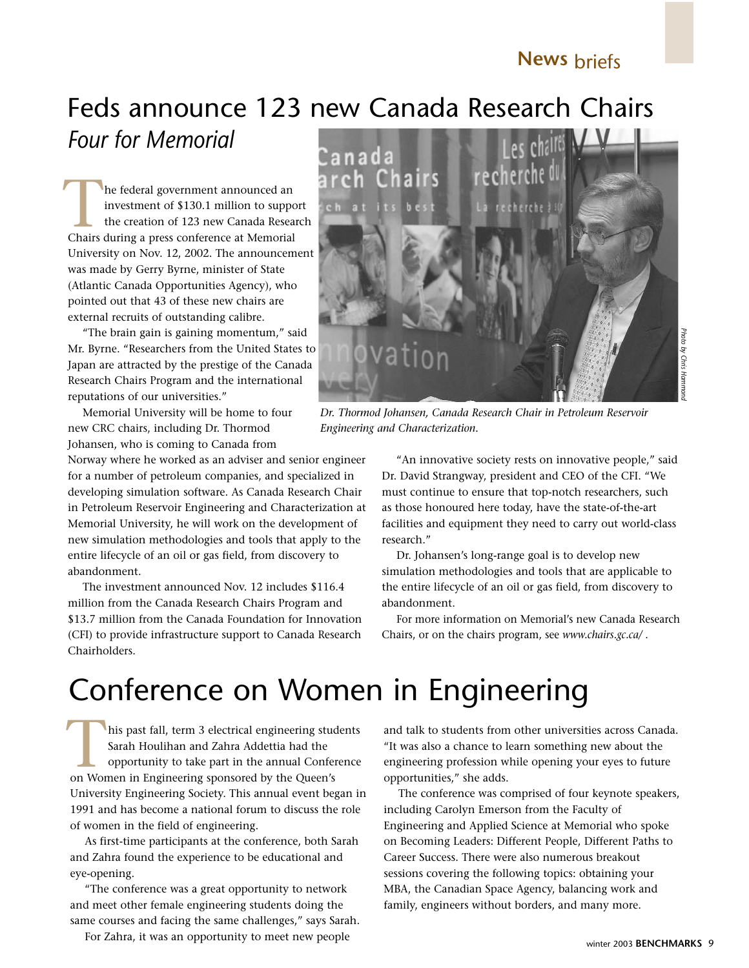## Feds announce 123 new Canada Research Chairs *Four for Memorial*

he federal government announced an investment of \$130.1 million to support the creation of 123 new Canada Research The federal government announced an investment of \$130.1 million to supporthe creation of 123 new Canada Resear<br>Chairs during a press conference at Memorial University on Nov. 12, 2002. The announcement was made by Gerry Byrne, minister of State (Atlantic Canada Opportunities Agency), who pointed out that 43 of these new chairs are external recruits of outstanding calibre.

"The brain gain is gaining momentum," said Mr. Byrne. "Researchers from the United States to Japan are attracted by the prestige of the Canada Research Chairs Program and the international reputations of our universities."

Memorial University will be home to four new CRC chairs, including Dr. Thormod Johansen, who is coming to Canada from

Norway where he worked as an adviser and senior engineer for a number of petroleum companies, and specialized in developing simulation software. As Canada Research Chair in Petroleum Reservoir Engineering and Characterization at Memorial University, he will work on the development of new simulation methodologies and tools that apply to the entire lifecycle of an oil or gas field, from discovery to abandonment.

The investment announced Nov. 12 includes \$116.4 million from the Canada Research Chairs Program and \$13.7 million from the Canada Foundation for Innovation (CFI) to provide infrastructure support to Canada Research Chairholders.



*Dr. Thormod Johansen, Canada Research Chair in Petroleum Reservoir Engineering and Characterization.*

"An innovative society rests on innovative people," said Dr. David Strangway, president and CEO of the CFI. "We must continue to ensure that top-notch researchers, such as those honoured here today, have the state-of-the-art facilities and equipment they need to carry out world-class research."

Dr. Johansen's long-range goal is to develop new simulation methodologies and tools that are applicable to the entire lifecycle of an oil or gas field, from discovery to abandonment.

For more information on Memorial's new Canada Research Chairs, or on the chairs program, see *www.chairs.gc.ca/* .

# Conference on Women in Engineering

his past fall, term 3 electrical engineering students Sarah Houlihan and Zahra Addettia had the opportunity to take part in the annual Conference his past fall, term 3 electrical engineering students and Houlihan and Zahra Addettia had the opportunity to take part in the annual Conferent on Women in Engineering sponsored by the Queen's University Engineering Society. This annual event began in 1991 and has become a national forum to discuss the role of women in the field of engineering.

As first-time participants at the conference, both Sarah and Zahra found the experience to be educational and eye-opening.

"The conference was a great opportunity to network and meet other female engineering students doing the same courses and facing the same challenges," says Sarah.

For Zahra, it was an opportunity to meet new people

and talk to students from other universities across Canada. "It was also a chance to learn something new about the engineering profession while opening your eyes to future opportunities," she adds.

The conference was comprised of four keynote speakers, including Carolyn Emerson from the Faculty of Engineering and Applied Science at Memorial who spoke on Becoming Leaders: Different People, Different Paths to Career Success. There were also numerous breakout sessions covering the following topics: obtaining your MBA, the Canadian Space Agency, balancing work and family, engineers without borders, and many more.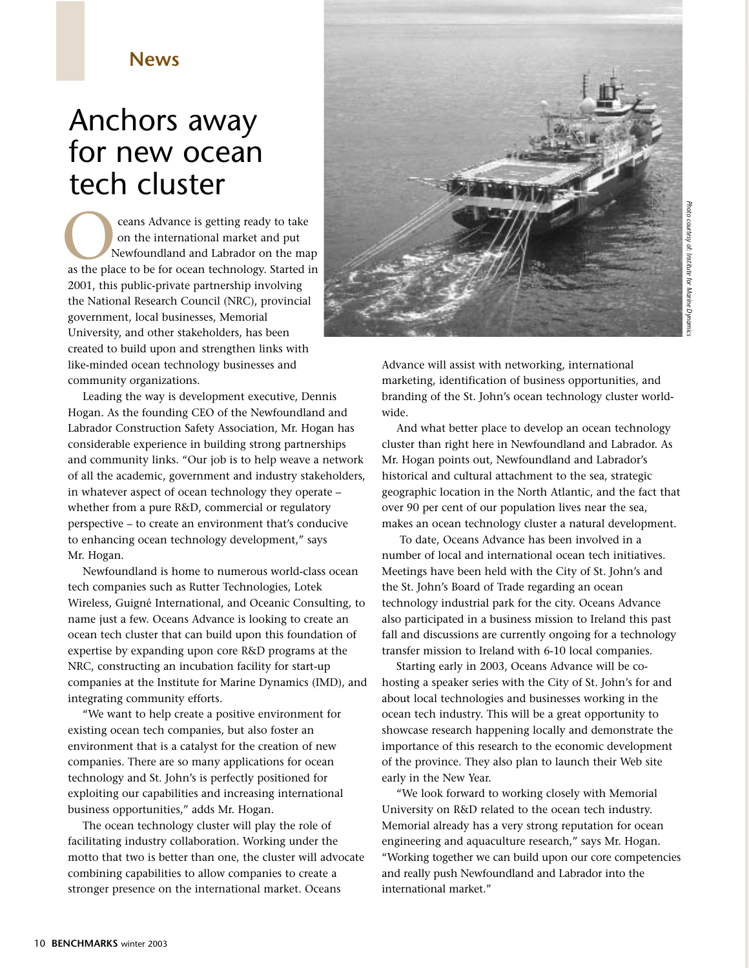## **News**

## Anchors away for new ocean tech cluster

ceans Advance is getting ready to take on the international market and put Newfoundland and Labrador on the map ceans Advance is getting ready to take<br>on the international market and put<br>as the place to be for ocean technology. Started in 2001, this public-private partnership involving the National Research Council (NRC), provincial government, local businesses, Memorial University, and other stakeholders, has been created to build upon and strengthen links with like-minded ocean technology businesses and community organizations.

Leading the way is development executive, Dennis Hogan. As the founding CEO of the Newfoundland and Labrador Construction Safety Association, Mr. Hogan has considerable experience in building strong partnerships and community links. "Our job is to help weave a network of all the academic, government and industry stakeholders, in whatever aspect of ocean technology they operate – whether from a pure R&D, commercial or regulatory perspective – to create an environment that's conducive to enhancing ocean technology development," says Mr. Hogan.

Newfoundland is home to numerous world-class ocean tech companies such as Rutter Technologies, Lotek Wireless, Guigné International, and Oceanic Consulting, to name just a few. Oceans Advance is looking to create an ocean tech cluster that can build upon this foundation of expertise by expanding upon core R&D programs at the NRC, constructing an incubation facility for start-up companies at the Institute for Marine Dynamics (IMD), and integrating community efforts.

"We want to help create a positive environment for existing ocean tech companies, but also foster an environment that is a catalyst for the creation of new companies. There are so many applications for ocean technology and St. John's is perfectly positioned for exploiting our capabilities and increasing international business opportunities," adds Mr. Hogan.

The ocean technology cluster will play the role of facilitating industry collaboration. Working under the motto that two is better than one, the cluster will advocate combining capabilities to allow companies to create a stronger presence on the international market. Oceans



*Photo courtesy of: Institute for Marine Dynamics*Photo courtesy of: Institute for Marine Dynami

Advance will assist with networking, international marketing, identification of business opportunities, and branding of the St. John's ocean technology cluster worldwide.

And what better place to develop an ocean technology cluster than right here in Newfoundland and Labrador. As Mr. Hogan points out, Newfoundland and Labrador's historical and cultural attachment to the sea, strategic geographic location in the North Atlantic, and the fact that over 90 per cent of our population lives near the sea, makes an ocean technology cluster a natural development.

To date, Oceans Advance has been involved in a number of local and international ocean tech initiatives. Meetings have been held with the City of St. John's and the St. John's Board of Trade regarding an ocean technology industrial park for the city. Oceans Advance also participated in a business mission to Ireland this past fall and discussions are currently ongoing for a technology transfer mission to Ireland with 6-10 local companies.

Starting early in 2003, Oceans Advance will be cohosting a speaker series with the City of St. John's for and about local technologies and businesses working in the ocean tech industry. This will be a great opportunity to showcase research happening locally and demonstrate the importance of this research to the economic development of the province. They also plan to launch their Web site early in the New Year.

"We look forward to working closely with Memorial University on R&D related to the ocean tech industry. Memorial already has a very strong reputation for ocean engineering and aquaculture research," says Mr. Hogan. "Working together we can build upon our core competencies and really push Newfoundland and Labrador into the international market."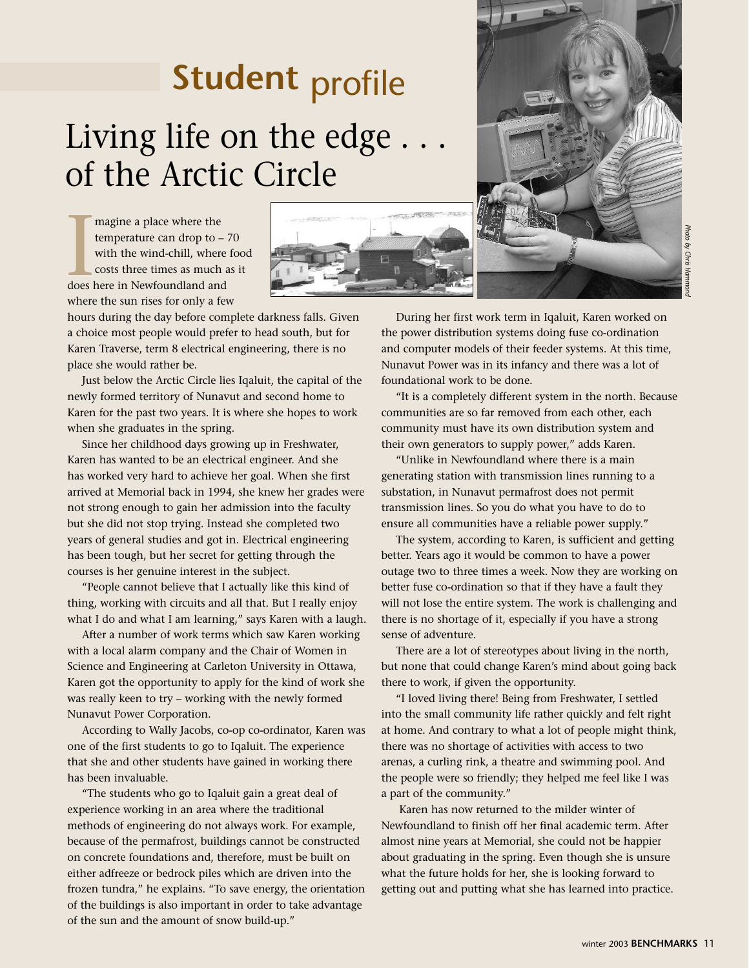# **Student** profile Living life on the edge. of the Arctic Circle

magine a place where the temperature can drop to – 70 with the wind-chill, where food costs three times as much as it magine a place where the<br>temperature can drop to –<br>with the wind-chill, where<br>costs three times as much a<br>does here in Newfoundland and where the sun rises for only a few

hours during the day before complete darkness falls. Given a choice most people would prefer to head south, but for Karen Traverse, term 8 electrical engineering, there is no place she would rather be.

Just below the Arctic Circle lies Iqaluit, the capital of the newly formed territory of Nunavut and second home to Karen for the past two years. It is where she hopes to work when she graduates in the spring.

Since her childhood days growing up in Freshwater, Karen has wanted to be an electrical engineer. And she has worked very hard to achieve her goal. When she first arrived at Memorial back in 1994, she knew her grades were not strong enough to gain her admission into the faculty but she did not stop trying. Instead she completed two years of general studies and got in. Electrical engineering has been tough, but her secret for getting through the courses is her genuine interest in the subject.

"People cannot believe that I actually like this kind of thing, working with circuits and all that. But I really enjoy what I do and what I am learning," says Karen with a laugh.

After a number of work terms which saw Karen working with a local alarm company and the Chair of Women in Science and Engineering at Carleton University in Ottawa, Karen got the opportunity to apply for the kind of work she was really keen to try – working with the newly formed Nunavut Power Corporation.

According to Wally Jacobs, co-op co-ordinator, Karen was one of the first students to go to Iqaluit. The experience that she and other students have gained in working there has been invaluable.

"The students who go to Iqaluit gain a great deal of experience working in an area where the traditional methods of engineering do not always work. For example, because of the permafrost, buildings cannot be constructed on concrete foundations and, therefore, must be built on either adfreeze or bedrock piles which are driven into the frozen tundra," he explains. "To save energy, the orientation of the buildings is also important in order to take advantage of the sun and the amount of snow build-up."



During her first work term in Iqaluit, Karen worked on the power distribution systems doing fuse co-ordination and computer models of their feeder systems. At this time, Nunavut Power was in its infancy and there was a lot of foundational work to be done.

"It is a completely different system in the north. Because communities are so far removed from each other, each community must have its own distribution system and their own generators to supply power," adds Karen.

"Unlike in Newfoundland where there is a main generating station with transmission lines running to a substation, in Nunavut permafrost does not permit transmission lines. So you do what you have to do to ensure all communities have a reliable power supply."

The system, according to Karen, is sufficient and getting better. Years ago it would be common to have a power outage two to three times a week. Now they are working on better fuse co-ordination so that if they have a fault they will not lose the entire system. The work is challenging and there is no shortage of it, especially if you have a strong sense of adventure.

There are a lot of stereotypes about living in the north, but none that could change Karen's mind about going back there to work, if given the opportunity.

"I loved living there! Being from Freshwater, I settled into the small community life rather quickly and felt right at home. And contrary to what a lot of people might think, there was no shortage of activities with access to two arenas, a curling rink, a theatre and swimming pool. And the people were so friendly; they helped me feel like I was a part of the community."

Karen has now returned to the milder winter of Newfoundland to finish off her final academic term. After almost nine years at Memorial, she could not be happier about graduating in the spring. Even though she is unsure what the future holds for her, she is looking forward to getting out and putting what she has learned into practice.

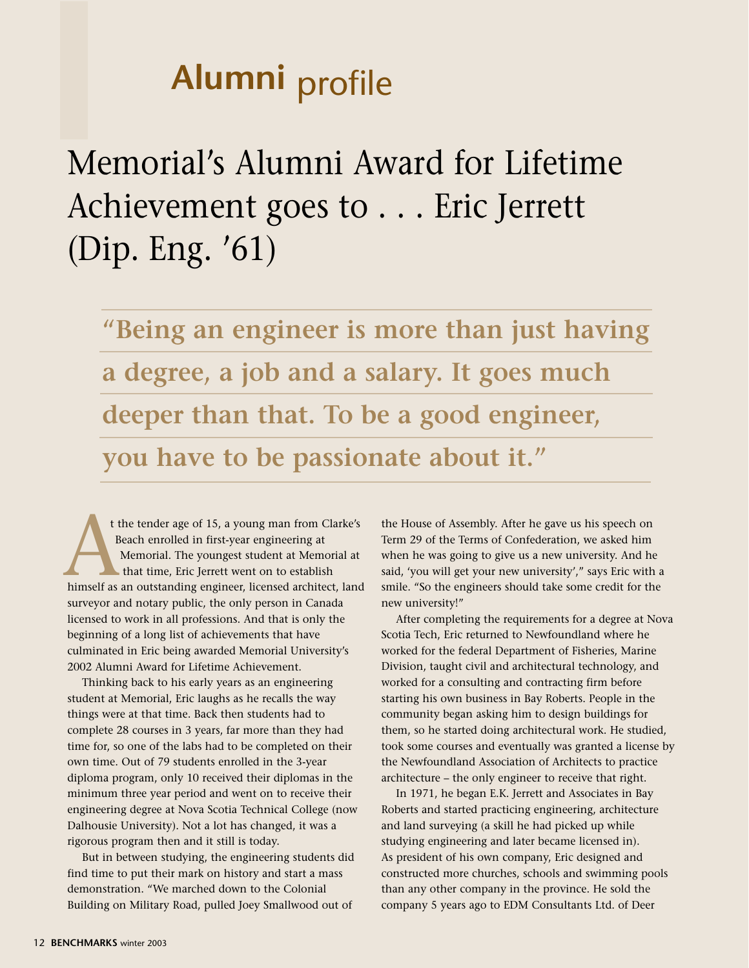# **Alumni** profile

Memorial's Alumni Award for Lifetime Achievement goes to . . . Eric Jerrett (Dip. Eng. '61)

**"Being an engineer is more than just having a degree, a job and a salary. It goes much deeper than that. To be a good engineer, you have to be passionate about it."** 

t the tender age of 15, a young man from Clarke's Beach enrolled in first-year engineering at Memorial. The youngest student at Memorial at that time, Eric Jerrett went on to establish t the tender age of 15, a young man from Clarke's<br>Beach enrolled in first-year engineering at<br>Memorial. The youngest student at Memorial at<br>that time, Eric Jerrett went on to establish<br>himself as an outstanding engineer, l surveyor and notary public, the only person in Canada licensed to work in all professions. And that is only the beginning of a long list of achievements that have culminated in Eric being awarded Memorial University's 2002 Alumni Award for Lifetime Achievement.

Thinking back to his early years as an engineering student at Memorial, Eric laughs as he recalls the way things were at that time. Back then students had to complete 28 courses in 3 years, far more than they had time for, so one of the labs had to be completed on their own time. Out of 79 students enrolled in the 3-year diploma program, only 10 received their diplomas in the minimum three year period and went on to receive their engineering degree at Nova Scotia Technical College (now Dalhousie University). Not a lot has changed, it was a rigorous program then and it still is today.

But in between studying, the engineering students did find time to put their mark on history and start a mass demonstration. "We marched down to the Colonial Building on Military Road, pulled Joey Smallwood out of

the House of Assembly. After he gave us his speech on Term 29 of the Terms of Confederation, we asked him when he was going to give us a new university. And he said, 'you will get your new university'," says Eric with a smile. "So the engineers should take some credit for the new university!"

After completing the requirements for a degree at Nova Scotia Tech, Eric returned to Newfoundland where he worked for the federal Department of Fisheries, Marine Division, taught civil and architectural technology, and worked for a consulting and contracting firm before starting his own business in Bay Roberts. People in the community began asking him to design buildings for them, so he started doing architectural work. He studied, took some courses and eventually was granted a license by the Newfoundland Association of Architects to practice architecture – the only engineer to receive that right.

In 1971, he began E.K. Jerrett and Associates in Bay Roberts and started practicing engineering, architecture and land surveying (a skill he had picked up while studying engineering and later became licensed in). As president of his own company, Eric designed and constructed more churches, schools and swimming pools than any other company in the province. He sold the company 5 years ago to EDM Consultants Ltd. of Deer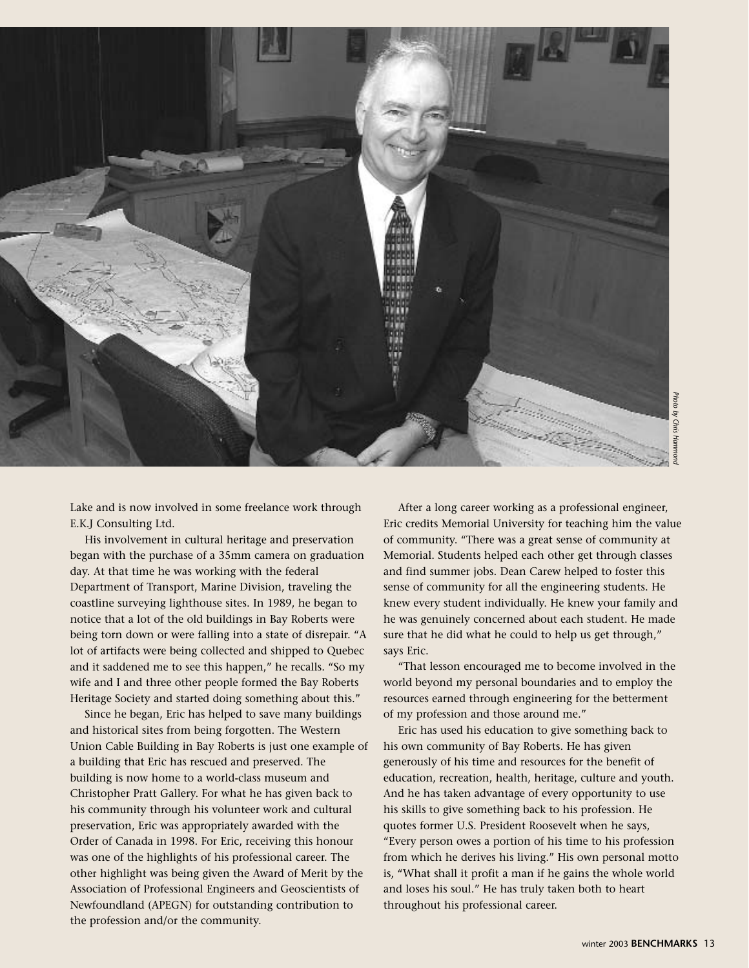

Lake and is now involved in some freelance work through E.K.J Consulting Ltd.

His involvement in cultural heritage and preservation began with the purchase of a 35mm camera on graduation day. At that time he was working with the federal Department of Transport, Marine Division, traveling the coastline surveying lighthouse sites. In 1989, he began to notice that a lot of the old buildings in Bay Roberts were being torn down or were falling into a state of disrepair. "A lot of artifacts were being collected and shipped to Quebec and it saddened me to see this happen," he recalls. "So my wife and I and three other people formed the Bay Roberts Heritage Society and started doing something about this."

Since he began, Eric has helped to save many buildings and historical sites from being forgotten. The Western Union Cable Building in Bay Roberts is just one example of a building that Eric has rescued and preserved. The building is now home to a world-class museum and Christopher Pratt Gallery. For what he has given back to his community through his volunteer work and cultural preservation, Eric was appropriately awarded with the Order of Canada in 1998. For Eric, receiving this honour was one of the highlights of his professional career. The other highlight was being given the Award of Merit by the Association of Professional Engineers and Geoscientists of Newfoundland (APEGN) for outstanding contribution to the profession and/or the community.

After a long career working as a professional engineer, Eric credits Memorial University for teaching him the value of community. "There was a great sense of community at Memorial. Students helped each other get through classes and find summer jobs. Dean Carew helped to foster this sense of community for all the engineering students. He knew every student individually. He knew your family and he was genuinely concerned about each student. He made sure that he did what he could to help us get through," says Eric.

"That lesson encouraged me to become involved in the world beyond my personal boundaries and to employ the resources earned through engineering for the betterment of my profession and those around me."

Eric has used his education to give something back to his own community of Bay Roberts. He has given generously of his time and resources for the benefit of education, recreation, health, heritage, culture and youth. And he has taken advantage of every opportunity to use his skills to give something back to his profession. He quotes former U.S. President Roosevelt when he says, "Every person owes a portion of his time to his profession from which he derives his living." His own personal motto is, "What shall it profit a man if he gains the whole world and loses his soul." He has truly taken both to heart throughout his professional career. external angle<br>the straining him the value of community at<br>the formulation of a community at<br>external pair of a beam of a student. He made<br>us get through,"<br>me involved in the<br>and to employ the<br>profession the betterment<br>"<br>m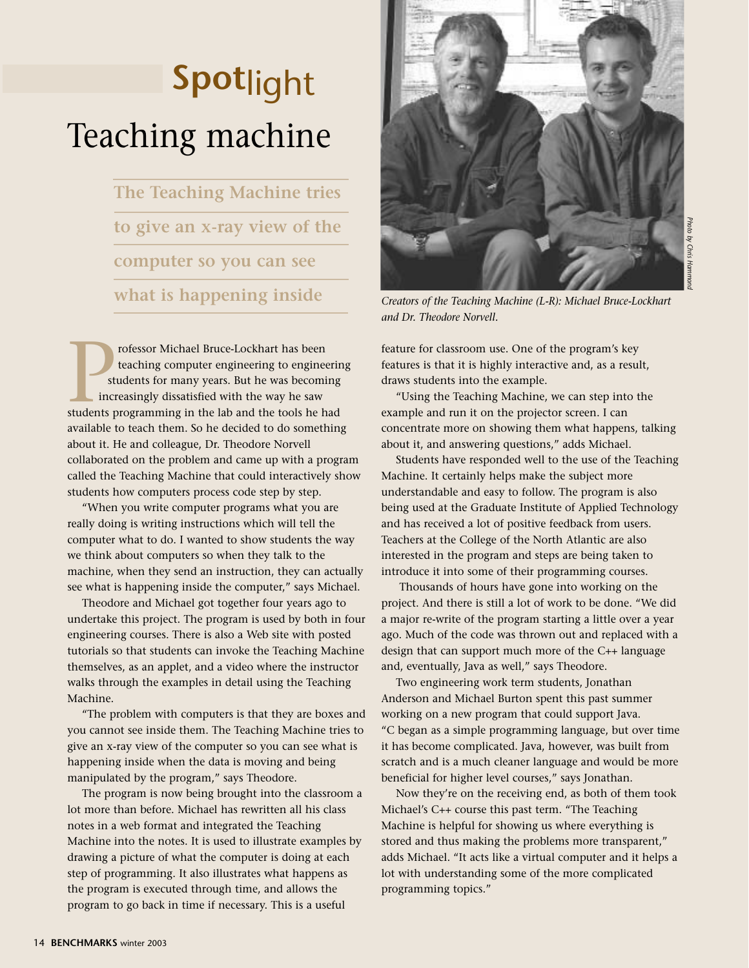# Teaching machine **Spot**light

**The Teaching Machine tries to give an x-ray view of the computer so you can see what is happening inside** 

rofessor Michael Bruce-Lockhart has been teaching computer engineering to engineering students for many years. But he was becoming increasingly dissatisfied with the way he saw rofessor Michael Bruce-Lockhart has been<br>teaching computer engineering to engineering<br>students for many years. But he was becoming<br>increasingly dissatisfied with the way he saw<br>students programming in the lab and the tools available to teach them. So he decided to do something about it. He and colleague, Dr. Theodore Norvell collaborated on the problem and came up with a program called the Teaching Machine that could interactively show students how computers process code step by step.

"When you write computer programs what you are really doing is writing instructions which will tell the computer what to do. I wanted to show students the way we think about computers so when they talk to the machine, when they send an instruction, they can actually see what is happening inside the computer," says Michael.

Theodore and Michael got together four years ago to undertake this project. The program is used by both in four engineering courses. There is also a Web site with posted tutorials so that students can invoke the Teaching Machine themselves, as an applet, and a video where the instructor walks through the examples in detail using the Teaching Machine.

"The problem with computers is that they are boxes and you cannot see inside them. The Teaching Machine tries to give an x-ray view of the computer so you can see what is happening inside when the data is moving and being manipulated by the program," says Theodore.

The program is now being brought into the classroom a lot more than before. Michael has rewritten all his class notes in a web format and integrated the Teaching Machine into the notes. It is used to illustrate examples by drawing a picture of what the computer is doing at each step of programming. It also illustrates what happens as the program is executed through time, and allows the program to go back in time if necessary. This is a useful



*Creators of the Teaching Machine (L-R): Michael Bruce-Lockhart and Dr. Theodore Norvell.*

feature for classroom use. One of the program's key features is that it is highly interactive and, as a result, draws students into the example.

"Using the Teaching Machine, we can step into the example and run it on the projector screen. I can concentrate more on showing them what happens, talking about it, and answering questions," adds Michael.

Students have responded well to the use of the Teaching Machine. It certainly helps make the subject more understandable and easy to follow. The program is also being used at the Graduate Institute of Applied Technology and has received a lot of positive feedback from users. Teachers at the College of the North Atlantic are also interested in the program and steps are being taken to introduce it into some of their programming courses.

Thousands of hours have gone into working on the project. And there is still a lot of work to be done. "We did a major re-write of the program starting a little over a year ago. Much of the code was thrown out and replaced with a design that can support much more of the C++ language and, eventually, Java as well," says Theodore.

Two engineering work term students, Jonathan Anderson and Michael Burton spent this past summer working on a new program that could support Java. "C began as a simple programming language, but over time it has become complicated. Java, however, was built from scratch and is a much cleaner language and would be more beneficial for higher level courses," says Jonathan.

Now they're on the receiving end, as both of them took Michael's C++ course this past term. "The Teaching Machine is helpful for showing us where everything is stored and thus making the problems more transparent," adds Michael. "It acts like a virtual computer and it helps a lot with understanding some of the more complicated programming topics."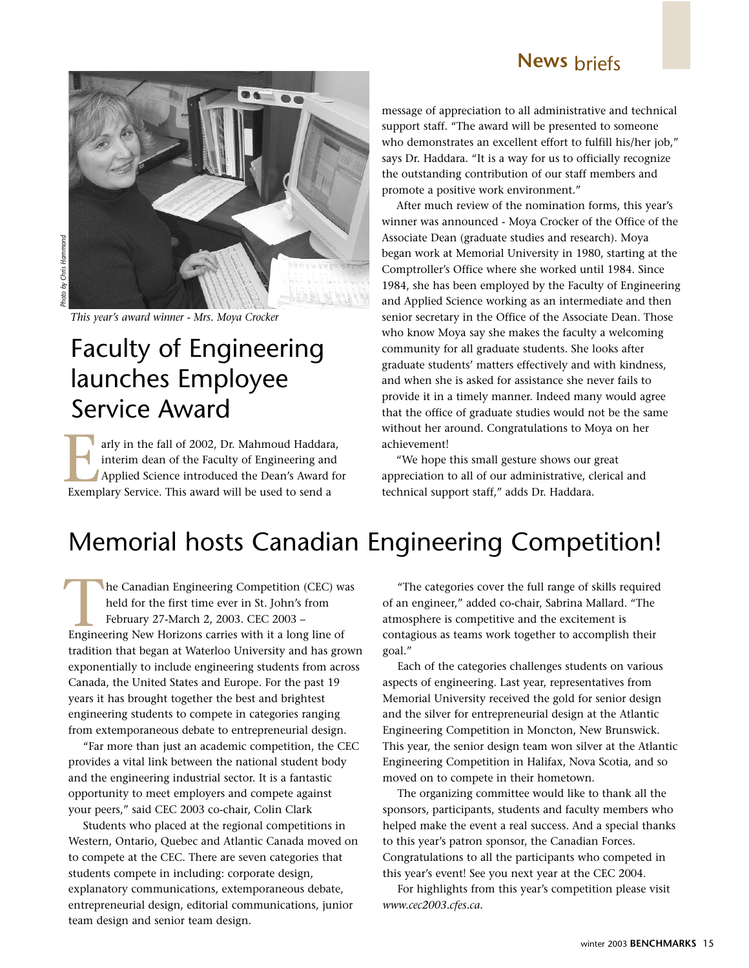

*This year's award winner - Mrs. Moya Crocker*

# Faculty of Engineering launches Employee Service Award *This yeven*<br>This yeven **Face laures**<br>Exemple **Me**

arly in the fall of 2002, Dr. Mahmoud Haddara, interim dean of the Faculty of Engineering and Applied Science introduced the Dean's Award for arly in the fall of 2002, Dr. Mahmoud Haddari<br>interim dean of the Faculty of Engineering an<br>Applied Science introduced the Dean's Award<br>Exemplary Service. This award will be used to send a

message of appreciation to all administrative and technical support staff. "The award will be presented to someone who demonstrates an excellent effort to fulfill his/her job," says Dr. Haddara. "It is a way for us to officially recognize the outstanding contribution of our staff members and promote a positive work environment."

After much review of the nomination forms, this year's winner was announced - Moya Crocker of the Office of the Associate Dean (graduate studies and research). Moya began work at Memorial University in 1980, starting at the Comptroller's Office where she worked until 1984. Since 1984, she has been employed by the Faculty of Engineering and Applied Science working as an intermediate and then senior secretary in the Office of the Associate Dean. Those who know Moya say she makes the faculty a welcoming community for all graduate students. She looks after graduate students' matters effectively and with kindness, and when she is asked for assistance she never fails to provide it in a timely manner. Indeed many would agree that the office of graduate studies would not be the same without her around. Congratulations to Moya on her achievement!

"We hope this small gesture shows our great appreciation to all of our administrative, clerical and technical support staff," adds Dr. Haddara.

## Memorial hosts Canadian Engineering Competition!

he Canadian Engineering Competition (CEC) was held for the first time ever in St. John's from February 27-March 2, 2003. CEC 2003 – Engineering New Horizons carries with it a long line of tradition that began at Waterloo University and has grown exponentially to include engineering students from across Canada, the United States and Europe. For the past 19 years it has brought together the best and brightest engineering students to compete in categories ranging from extemporaneous debate to entrepreneurial design.

"Far more than just an academic competition, the CEC provides a vital link between the national student body and the engineering industrial sector. It is a fantastic opportunity to meet employers and compete against your peers," said CEC 2003 co-chair, Colin Clark

Students who placed at the regional competitions in Western, Ontario, Quebec and Atlantic Canada moved on to compete at the CEC. There are seven categories that students compete in including: corporate design, explanatory communications, extemporaneous debate, entrepreneurial design, editorial communications, junior team design and senior team design.

"The categories cover the full range of skills required of an engineer," added co-chair, Sabrina Mallard. "The atmosphere is competitive and the excitement is contagious as teams work together to accomplish their goal."

Each of the categories challenges students on various aspects of engineering. Last year, representatives from Memorial University received the gold for senior design and the silver for entrepreneurial design at the Atlantic Engineering Competition in Moncton, New Brunswick. This year, the senior design team won silver at the Atlantic Engineering Competition in Halifax, Nova Scotia, and so moved on to compete in their hometown.

The organizing committee would like to thank all the sponsors, participants, students and faculty members who helped make the event a real success. And a special thanks to this year's patron sponsor, the Canadian Forces. Congratulations to all the participants who competed in this year's event! See you next year at the CEC 2004.

For highlights from this year's competition please visit *www.cec2003.cfes.ca*.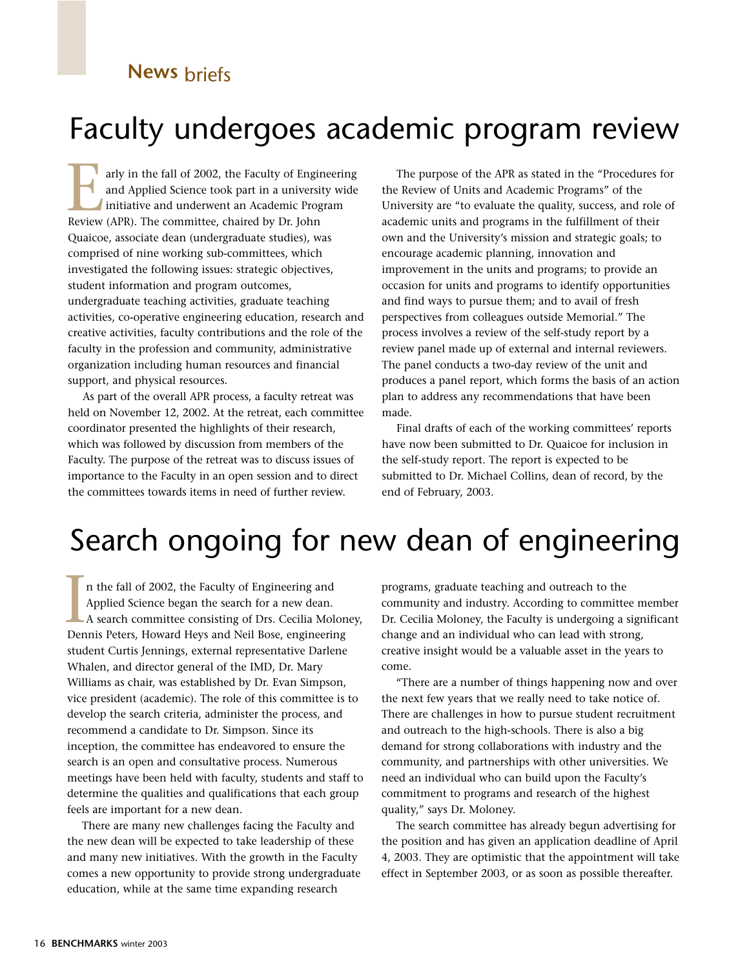# Faculty undergoes academic program review

arly in the fall of 2002, the Faculty of Engineering and Applied Science took part in a university wide initiative and underwent an Academic Program arly in the fall of 2002, the Faculty of Engi<br>
and Applied Science took part in a universi<br>
initiative and underwent an Academic Prog<br>
Review (APR). The committee, chaired by Dr. John Quaicoe, associate dean (undergraduate studies), was comprised of nine working sub-committees, which investigated the following issues: strategic objectives, student information and program outcomes, undergraduate teaching activities, graduate teaching activities, co-operative engineering education, research and creative activities, faculty contributions and the role of the faculty in the profession and community, administrative organization including human resources and financial support, and physical resources.

As part of the overall APR process, a faculty retreat was held on November 12, 2002. At the retreat, each committee coordinator presented the highlights of their research, which was followed by discussion from members of the Faculty. The purpose of the retreat was to discuss issues of importance to the Faculty in an open session and to direct the committees towards items in need of further review.

The purpose of the APR as stated in the "Procedures for the Review of Units and Academic Programs" of the University are "to evaluate the quality, success, and role of academic units and programs in the fulfillment of their own and the University's mission and strategic goals; to encourage academic planning, innovation and improvement in the units and programs; to provide an occasion for units and programs to identify opportunities and find ways to pursue them; and to avail of fresh perspectives from colleagues outside Memorial." The process involves a review of the self-study report by a review panel made up of external and internal reviewers. The panel conducts a two-day review of the unit and produces a panel report, which forms the basis of an action plan to address any recommendations that have been made.

Final drafts of each of the working committees' reports have now been submitted to Dr. Quaicoe for inclusion in the self-study report. The report is expected to be submitted to Dr. Michael Collins, dean of record, by the end of February, 2003.

# Search ongoing for new dean of engineering

n the fall of 2002, the Faculty of Engineering and Applied Science began the search for a new dean. A search committee consisting of Drs. Cecilia Moloney, In the fall of 2002, the Faculty of Engineering and<br>Applied Science began the search for a new dean.<br>A search committee consisting of Drs. Cecilia Molor<br>Dennis Peters, Howard Heys and Neil Bose, engineering student Curtis Jennings, external representative Darlene Whalen, and director general of the IMD, Dr. Mary Williams as chair, was established by Dr. Evan Simpson, vice president (academic). The role of this committee is to develop the search criteria, administer the process, and recommend a candidate to Dr. Simpson. Since its inception, the committee has endeavored to ensure the search is an open and consultative process. Numerous meetings have been held with faculty, students and staff to determine the qualities and qualifications that each group feels are important for a new dean.

There are many new challenges facing the Faculty and the new dean will be expected to take leadership of these and many new initiatives. With the growth in the Faculty comes a new opportunity to provide strong undergraduate education, while at the same time expanding research

programs, graduate teaching and outreach to the community and industry. According to committee member Dr. Cecilia Moloney, the Faculty is undergoing a significant change and an individual who can lead with strong, creative insight would be a valuable asset in the years to come.

"There are a number of things happening now and over the next few years that we really need to take notice of. There are challenges in how to pursue student recruitment and outreach to the high-schools. There is also a big demand for strong collaborations with industry and the community, and partnerships with other universities. We need an individual who can build upon the Faculty's commitment to programs and research of the highest quality," says Dr. Moloney.

The search committee has already begun advertising for the position and has given an application deadline of April 4, 2003. They are optimistic that the appointment will take effect in September 2003, or as soon as possible thereafter.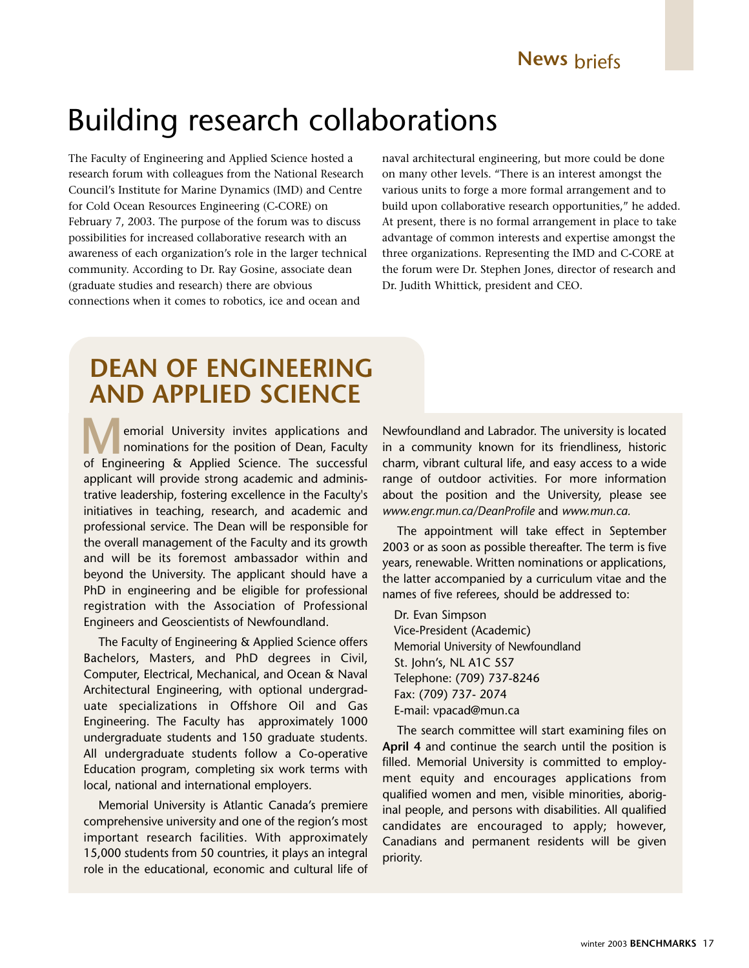# Building research collaborations

The Faculty of Engineering and Applied Science hosted a research forum with colleagues from the National Research Council's Institute for Marine Dynamics (IMD) and Centre for Cold Ocean Resources Engineering (C-CORE) on February 7, 2003. The purpose of the forum was to discuss possibilities for increased collaborative research with an awareness of each organization's role in the larger technical community. According to Dr. Ray Gosine, associate dean (graduate studies and research) there are obvious connections when it comes to robotics, ice and ocean and

naval architectural engineering, but more could be done on many other levels. "There is an interest amongst the various units to forge a more formal arrangement and to build upon collaborative research opportunities," he added. At present, there is no formal arrangement in place to take advantage of common interests and expertise amongst the three organizations. Representing the IMD and C-CORE at the forum were Dr. Stephen Jones, director of research and Dr. Judith Whittick, president and CEO.

## **DEAN OF ENGINEERING AND APPLIED SCIENCE**

emorial University invites applications and nominations for the position of Dean, Faculty **Manufacture Engineering & Applied Science.** The successful of Engineering & Applied Science. The successful applicant will provide strong academic and administrative leadership, fostering excellence in the Faculty's initiatives in teaching, research, and academic and professional service. The Dean will be responsible for the overall management of the Faculty and its growth and will be its foremost ambassador within and beyond the University. The applicant should have a PhD in engineering and be eligible for professional registration with the Association of Professional Engineers and Geoscientists of Newfoundland.

The Faculty of Engineering & Applied Science offers Bachelors, Masters, and PhD degrees in Civil, Computer, Electrical, Mechanical, and Ocean & Naval Architectural Engineering, with optional undergraduate specializations in Offshore Oil and Gas Engineering. The Faculty has approximately 1000 undergraduate students and 150 graduate students. All undergraduate students follow a Co-operative Education program, completing six work terms with local, national and international employers.

Memorial University is Atlantic Canada's premiere comprehensive university and one of the region's most important research facilities. With approximately 15,000 students from 50 countries, it plays an integral role in the educational, economic and cultural life of Newfoundland and Labrador. The university is located in a community known for its friendliness, historic charm, vibrant cultural life, and easy access to a wide range of outdoor activities. For more information about the position and the University, please see *www.engr.mun.ca/DeanProfile* and *www.mun.ca.*

The appointment will take effect in September 2003 or as soon as possible thereafter. The term is five years, renewable. Written nominations or applications, the latter accompanied by a curriculum vitae and the names of five referees, should be addressed to:

Dr. Evan Simpson Vice-President (Academic) Memorial University of Newfoundland St. John's, NL A1C 5S7 Telephone: (709) 737-8246 Fax: (709) 737- 2074 E-mail: vpacad@mun.ca

The search committee will start examining files on **April 4** and continue the search until the position is filled. Memorial University is committed to employment equity and encourages applications from qualified women and men, visible minorities, aboriginal people, and persons with disabilities. All qualified candidates are encouraged to apply; however, Canadians and permanent residents will be given priority.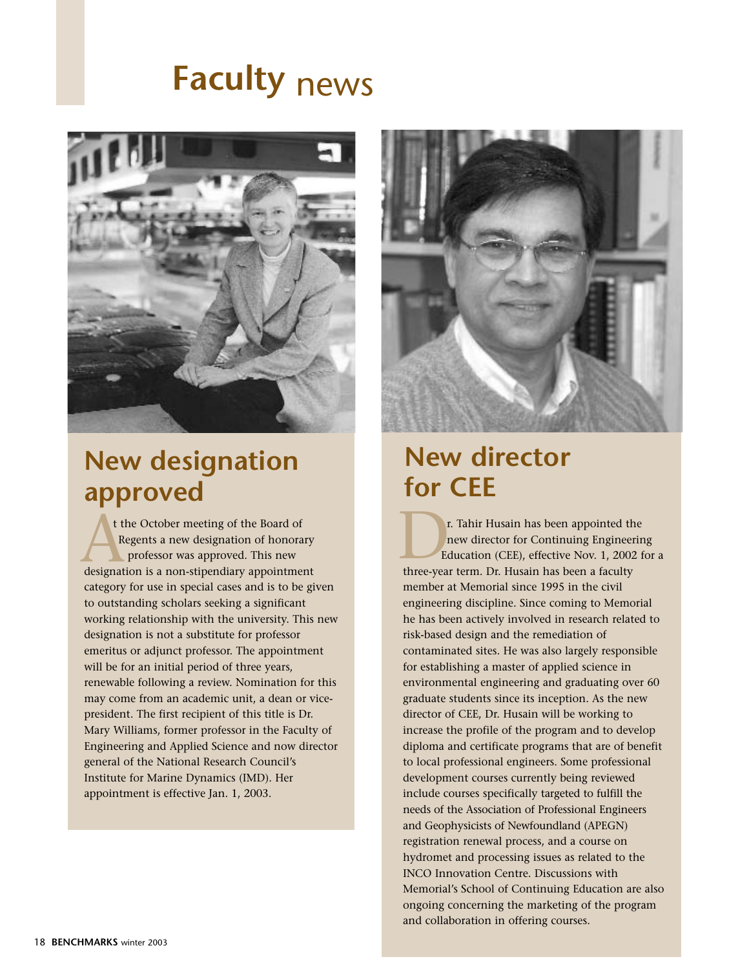# **Faculty** news



## **New designation approved**

t the October meeting of the Board of Regents a new designation of honorary professor was approved. This new t the October meeting of the Board of<br>Regents a new designation of honorary<br>professor was approved. This new<br>designation is a non-stipendiary appointment<br>three-yea category for use in special cases and is to be given to outstanding scholars seeking a significant working relationship with the university. This new designation is not a substitute for professor emeritus or adjunct professor. The appointment will be for an initial period of three years, renewable following a review. Nomination for this may come from an academic unit, a dean or vicepresident. The first recipient of this title is Dr. Mary Williams, former professor in the Faculty of Engineering and Applied Science and now director general of the National Research Council's Institute for Marine Dynamics (IMD). Her appointment is effective Jan. 1, 2003.



## **New director for CEE**

r. Tahir Husain has been appointed the new director for Continuing Engineering Education (CEE), effective Nov. 1, 2002 for a three-year term. Dr. Husain has been a faculty member at Memorial since 1995 in the civil engineering discipline. Since coming to Memorial he has been actively involved in research related to risk-based design and the remediation of contaminated sites. He was also largely responsible for establishing a master of applied science in environmental engineering and graduating over 60 graduate students since its inception. As the new director of CEE, Dr. Husain will be working to increase the profile of the program and to develop diploma and certificate programs that are of benefit to local professional engineers. Some professional development courses currently being reviewed include courses specifically targeted to fulfill the needs of the Association of Professional Engineers and Geophysicists of Newfoundland (APEGN) registration renewal process, and a course on hydromet and processing issues as related to the INCO Innovation Centre. Discussions with Memorial's School of Continuing Education are also ongoing concerning the marketing of the program and collaboration in offering courses.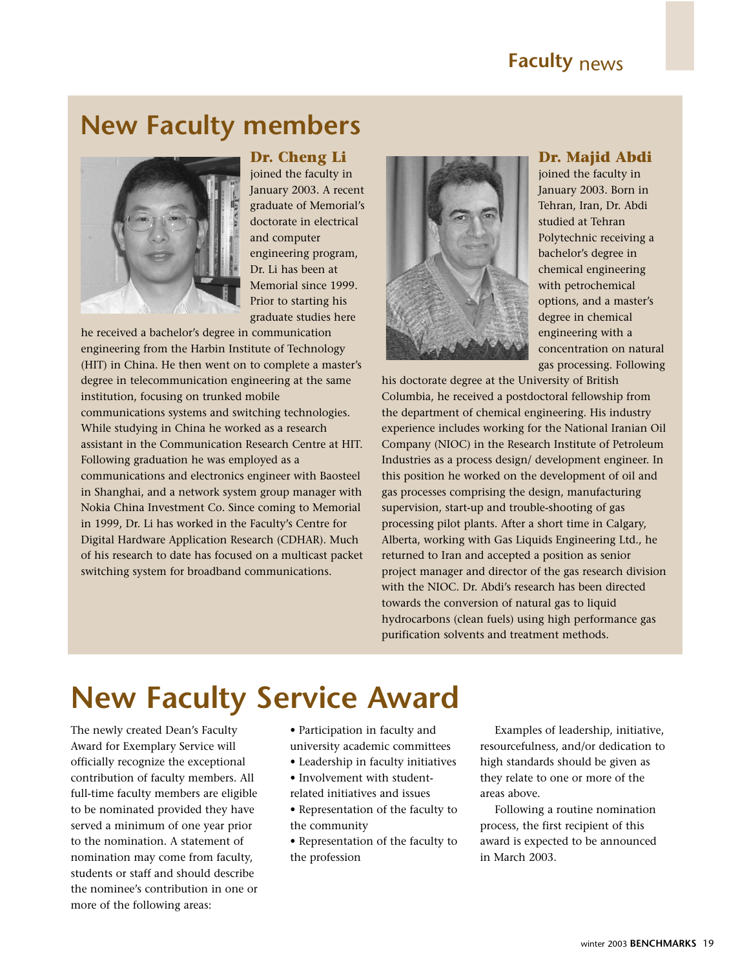## **New Faculty members**



## **Dr. Cheng Li**

joined the faculty in January 2003. A recent graduate of Memorial's doctorate in electrical and computer engineering program, Dr. Li has been at Memorial since 1999. Prior to starting his graduate studies here

he received a bachelor's degree in communication engineering from the Harbin Institute of Technology (HIT) in China. He then went on to complete a master's degree in telecommunication engineering at the same institution, focusing on trunked mobile communications systems and switching technologies. While studying in China he worked as a research assistant in the Communication Research Centre at HIT. Following graduation he was employed as a communications and electronics engineer with Baosteel in Shanghai, and a network system group manager with Nokia China Investment Co. Since coming to Memorial in 1999, Dr. Li has worked in the Faculty's Centre for Digital Hardware Application Research (CDHAR). Much of his research to date has focused on a multicast packet switching system for broadband communications.



## **Dr. Majid Abdi**

joined the faculty in January 2003. Born in Tehran, Iran, Dr. Abdi studied at Tehran Polytechnic receiving a bachelor's degree in chemical engineering with petrochemical options, and a master's degree in chemical engineering with a concentration on natural gas processing. Following

his doctorate degree at the University of British Columbia, he received a postdoctoral fellowship from the department of chemical engineering. His industry experience includes working for the National Iranian Oil Company (NIOC) in the Research Institute of Petroleum Industries as a process design/ development engineer. In this position he worked on the development of oil and gas processes comprising the design, manufacturing supervision, start-up and trouble-shooting of gas processing pilot plants. After a short time in Calgary, Alberta, working with Gas Liquids Engineering Ltd., he returned to Iran and accepted a position as senior project manager and director of the gas research division with the NIOC. Dr. Abdi's research has been directed towards the conversion of natural gas to liquid hydrocarbons (clean fuels) using high performance gas purification solvents and treatment methods.

# **New Faculty Service Award**

The newly created Dean's Faculty Award for Exemplary Service will officially recognize the exceptional contribution of faculty members. All full-time faculty members are eligible to be nominated provided they have served a minimum of one year prior to the nomination. A statement of nomination may come from faculty, students or staff and should describe the nominee's contribution in one or more of the following areas:

- Participation in faculty and university academic committees
- Leadership in faculty initiatives
- Involvement with studentrelated initiatives and issues
- Representation of the faculty to the community
- Representation of the faculty to the profession

Examples of leadership, initiative, resourcefulness, and/or dedication to high standards should be given as they relate to one or more of the areas above.

Following a routine nomination process, the first recipient of this award is expected to be announced in March 2003.